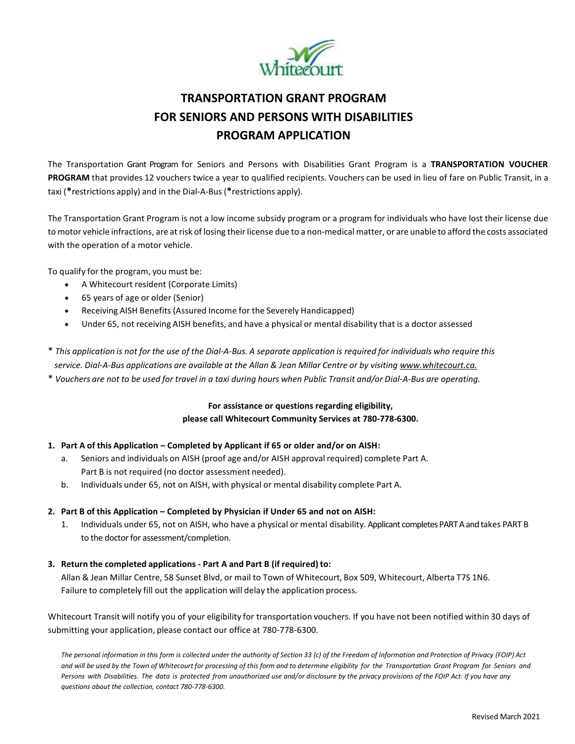

# **TRANSPORTATION GRANT PROGRAM FOR SENIORS AND PERSONS WITH DISABILITIES PROGRAM APPLICATION**

The Transportation Grant Program for Seniors and Persons with Disabilities Grant Program is a **TRANSPORTATION VOUCHER PROGRAM** that provides 12 vouchers twice a year to qualified recipients. Vouchers can be used in lieu of fare on Public Transit, in a taxi (**\***restrictions apply) and in the Dial-A-Bus(**\***restrictions apply).

The Transportation Grant Program is not a low income subsidy program or a program for individuals who have lost their license due to motor vehicle infractions, are at risk of losing their license due to a non-medical matter, or are unable to afford the costs associated with the operation of a motor vehicle.

To qualify for the program, you must be:

- A Whitecourt resident (Corporate Limits)
- 65 years of age or older (Senior)
- Receiving AISH Benefits (Assured Income for the Severely Handicapped)
- Under 65, not receiving AISH benefits, and have a physical or mental disability that is a doctor assessed

\* This application is not for the use of the Dial-A-Bus. A separate application is required for individuals who require this *service. Dial-A-Bus applications are available at the Allan & Jean Millar Centre or by visiting [www.whitecourt.ca.](http://www.whitecourt.ca/)*

\* Vouchers are not to be used for travel in a taxi during hours when Public Transit and/or Dial-A-Bus are operating.

## **For assistance or questions regarding eligibility, please call Whitecourt Community Services at 780-778-6300.**

### **1. Part A of this Application – Completed by Applicant if 65 or older and/or on AISH:**

- a. Seniors and individuals on AISH (proof age and/or AISH approval required) complete Part A. Part B is not required (no doctor assessment needed).
- b. Individuals under 65, not on AISH, with physical or mental disability complete Part A.

### **2. Part B of this Application – Completed by Physician if Under 65 and not on AISH:**

1. Individuals under 65, not on AISH, who have a physical or mental disability. Applicant completes PART A and takes PART B to the doctor for assessment/completion.

### **3. Return the completed applications - Part A and Part B (if required) to:**

Allan & Jean Millar Centre, 58 Sunset Blvd, or mail to Town of Whitecourt, Box 509, Whitecourt, Alberta T7S 1N6. Failure to completely fill out the application will delay the application process.

Whitecourt Transit will notify you of your eligibility for transportation vouchers. If you have not been notified within 30 days of submitting your application, please contact our office at 780-778-6300.

The personal information in this form is collected under the authority of Section 33 (c) of the Freedom of Information and Protection of Privacy {FOIP) Act and will be used by the Town of Whitecourt for processing of this form and to determine eligibility for the Transportation Grant Program for Seniors and Persons with Disabilities. The data is protected from unauthorized use and/or disclosure by the privacy provisions of the FOIP Act. If you have any *questions about the collection, contact 780-778-6300.*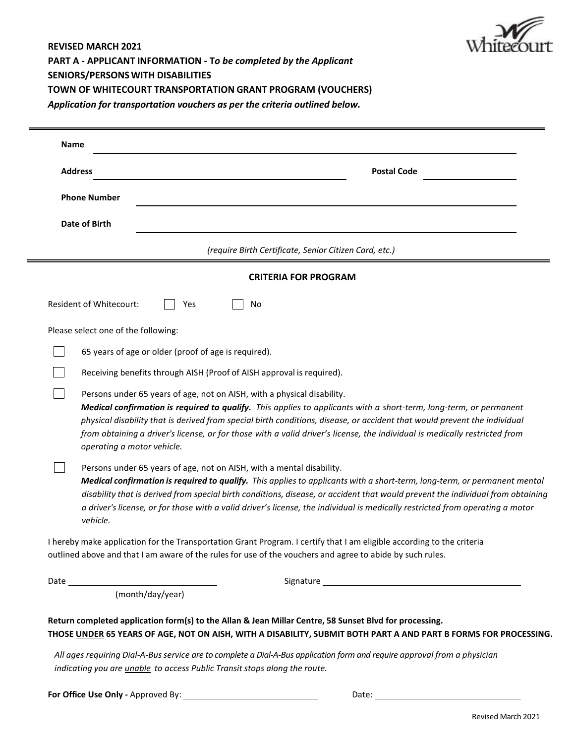

**REVISED MARCH 2021 PART A - APPLICANT INFORMATION - T***o be completed by the Applicant* **SENIORS/PERSONSWITH DISABILITIES TOWN OF WHITECOURT TRANSPORTATION GRANT PROGRAM (VOUCHERS)** *Application for transportation vouchers as per the criteria outlined below.* 

| <b>Name</b> |                                                                                                                                                                                                                                                                                                                                                                                                                                                                                        |
|-------------|----------------------------------------------------------------------------------------------------------------------------------------------------------------------------------------------------------------------------------------------------------------------------------------------------------------------------------------------------------------------------------------------------------------------------------------------------------------------------------------|
|             | <b>Address</b><br><b>Postal Code</b>                                                                                                                                                                                                                                                                                                                                                                                                                                                   |
|             | <b>Phone Number</b>                                                                                                                                                                                                                                                                                                                                                                                                                                                                    |
|             | Date of Birth                                                                                                                                                                                                                                                                                                                                                                                                                                                                          |
|             | (require Birth Certificate, Senior Citizen Card, etc.)                                                                                                                                                                                                                                                                                                                                                                                                                                 |
|             | <b>CRITERIA FOR PROGRAM</b>                                                                                                                                                                                                                                                                                                                                                                                                                                                            |
|             | <b>Resident of Whitecourt:</b><br>No<br>Yes                                                                                                                                                                                                                                                                                                                                                                                                                                            |
|             | Please select one of the following:                                                                                                                                                                                                                                                                                                                                                                                                                                                    |
|             | 65 years of age or older (proof of age is required).                                                                                                                                                                                                                                                                                                                                                                                                                                   |
|             | Receiving benefits through AISH (Proof of AISH approval is required).                                                                                                                                                                                                                                                                                                                                                                                                                  |
|             | Persons under 65 years of age, not on AISH, with a physical disability.<br>Medical confirmation is required to qualify. This applies to applicants with a short-term, long-term, or permanent<br>physical disability that is derived from special birth conditions, disease, or accident that would prevent the individual<br>from obtaining a driver's license, or for those with a valid driver's license, the individual is medically restricted from<br>operating a motor vehicle. |
|             | Persons under 65 years of age, not on AISH, with a mental disability.<br>Medical confirmation is required to qualify. This applies to applicants with a short-term, long-term, or permanent mental<br>disability that is derived from special birth conditions, disease, or accident that would prevent the individual from obtaining<br>a driver's license, or for those with a valid driver's license, the individual is medically restricted from operating a motor<br>vehicle.     |
|             | I hereby make application for the Transportation Grant Program. I certify that I am eligible according to the criteria<br>outlined above and that I am aware of the rules for use of the vouchers and agree to abide by such rules.                                                                                                                                                                                                                                                    |
|             |                                                                                                                                                                                                                                                                                                                                                                                                                                                                                        |
|             | (month/day/year)                                                                                                                                                                                                                                                                                                                                                                                                                                                                       |

**THOSE UNDER 65 YEARS OF AGE, NOT ON AISH, WITH A DISABILITY, SUBMIT BOTH PART A AND PART B FORMS FOR PROCESSING.**

*All ages requiring Dial-A-Busservice are to complete a Dial-A-Bus application form and require approval from a physician indicating you are unable to access Public Transit stops along the route.*

**For Office Use Only -** Approved By: Date: